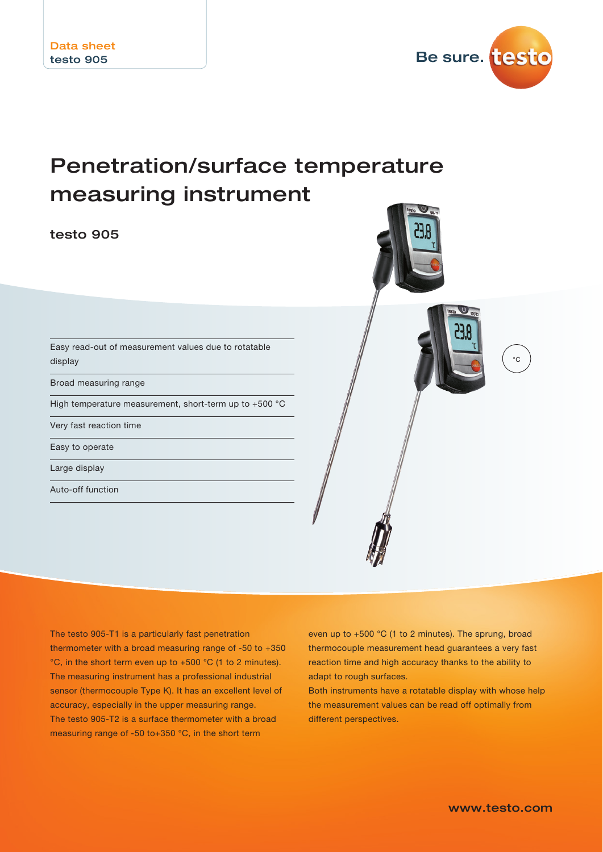

# Penetration/surface temperature measuring instrument

testo 905



Easy read-out of measurement values due to rotatable display

Broad measuring range

High temperature measurement, short-term up to +500 °C

Very fast reaction time

Easy to operate

Large display

Auto-off function

The testo 905-T1 is a particularly fast penetration thermometer with a broad measuring range of -50 to +350 °C, in the short term even up to +500 °C (1 to 2 minutes). The measuring instrument has a professional industrial sensor (thermocouple Type K). It has an excellent level of accuracy, especially in the upper measuring range. The testo 905-T2 is a surface thermometer with a broad measuring range of -50 to+350 °C, in the short term

even up to +500 °C (1 to 2 minutes). The sprung, broad thermocouple measurement head guarantees a very fast reaction time and high accuracy thanks to the ability to adapt to rough surfaces.

Both instruments have a rotatable display with whose help the measurement values can be read off optimally from different perspectives.